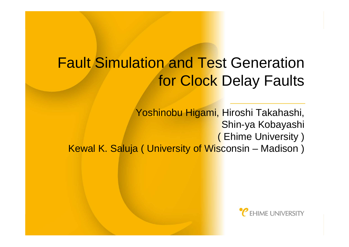#### Fault Simulation and Test Generation for Clock Delay Faults

Yoshinobu Higami, Hiroshi Takahashi, Shin-ya Kobayashi ( Ehime University ) Kewal K. Saluja ( University of Wisconsin – Madison )

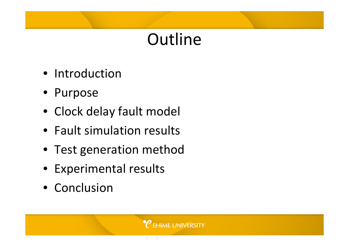# **Outline**

- Introduction
- Purpose
- Clock delay fault model
- Fault simulation results
- Test generation method
- Experimental results
- Conclusion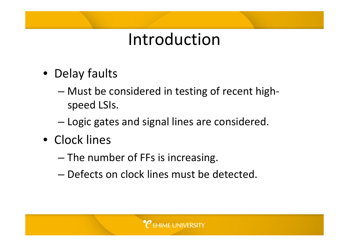# Introduction

- Delay faults
	- and the state of the state Must be considered in testing of recent high‐ speed LSIs.
	- –Logic gates and signal lines are considered.
- Clock lines
	- and the state of the state  $-$  The number of FFs is increasing.
	- Defects on clock lines must be detected.

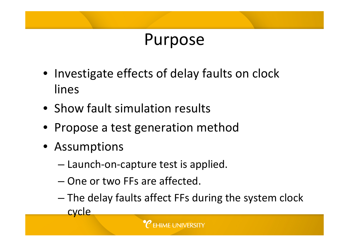# Purpose

- Investigate effects of delay faults on clock lines
- Show fault simulation results
- Propose <sup>a</sup> test generation method
- Assumptions
	- and the state of the state Launch‐on‐capture test is applied.
	- One or two FFs are affected.
	- and the state of the state The delay faults affect FFs during the system clock cycle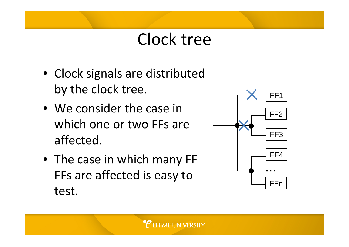# Clock tree

- Clock signals are distributed by the clock tree.
- We consider the case inwhich one or two FFs are affected.
- The case in which many FF FFs are affected is easy to test.

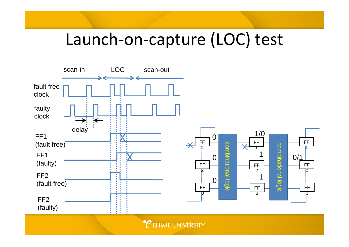# Launch‐on‐capture (LOC) test



 $\boldsymbol{e}$  ehime university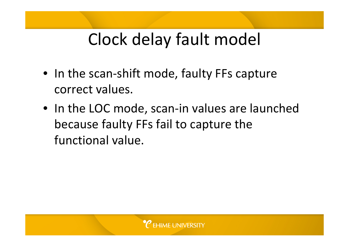# Clock delay fault model

- In the scan‐shift mode, faulty FFs capture correct values.
- In the LOC mode, scan‐in values are launched because faulty FFs fail to capture the functional value.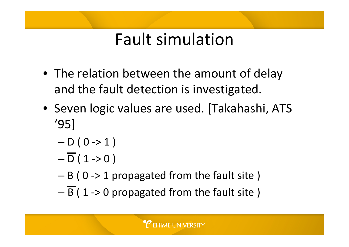# Fault simulation

- The relation between the amount of delay and the fault detection is investigated.
- Seven logic values are used. [Takahashi, ATS '95]
	- D ( 0 ‐<sup>&</sup>gt; 1 )
	- D ( 1 ‐<sup>&</sup>gt; 0 )
	- and the state of the state B ( 0 ‐<sup>&</sup>gt; 1 propagated from the fault site )
	- and the state of the state B ( 1 ‐<sup>&</sup>gt; 0 propagated from the fault site )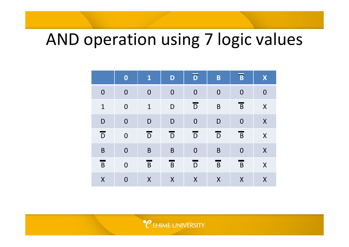# AND operation using 7 logic values

|                | $\boldsymbol{0}$ | $\mathbf{1}$ | D           | $\overline{D}$   | $\mathbf B$      | $\overline{B}$ | X                |
|----------------|------------------|--------------|-------------|------------------|------------------|----------------|------------------|
| $\overline{0}$ | $\mathbf 0$      | $\mathbf 0$  | $\mathbf 0$ | $\boldsymbol{0}$ | $\boldsymbol{0}$ | $\mathbf 0$    | $\boldsymbol{0}$ |
| $\mathbf{1}$   | $\mathbf 0$      | $\mathbf{1}$ | D           | $\overline{D}$   | $\mathsf B$      | $\overline{B}$ | X                |
| D              | $\mathbf 0$      | D            | D           | $\boldsymbol{0}$ | D                | $\overline{0}$ | $\boldsymbol{X}$ |
| D              | $\mathbf 0$      | D            | D           | D                | D                | $\mathsf B$    | $\sf X$          |
| $\mathsf B$    | $\mathbf 0$      | $\sf B$      | B           | $\boldsymbol{0}$ | $\mathsf B$      | $\mathbf 0$    | $\boldsymbol{X}$ |
| $\mathsf B$    | $\mathbf 0$      | $\mathsf B$  | B           | D                | $\mathsf B$      | $\mathsf B$    | $\boldsymbol{X}$ |
| $\sf X$        | $\mathbf 0$      | X            | $\sf X$     | X                | X                | $\sf X$        | X                |

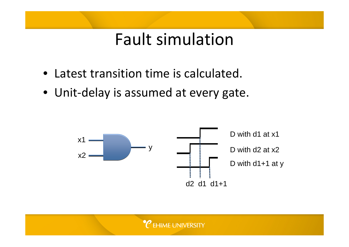# Fault simulation

- Latest transition time is calculated.
- Unit‐delay is assumed at every gate.



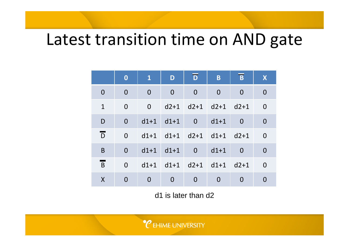# Latest transition time on AND gate

|                | $\boldsymbol{0}$ | $\mathbf{1}$   | D                                  | $\overline{D}$ | B              | $\overline{B}$ | X              |
|----------------|------------------|----------------|------------------------------------|----------------|----------------|----------------|----------------|
| $\overline{0}$ | $\overline{0}$   | $\overline{0}$ | $\overline{0}$                     | $\overline{0}$ | $\overline{0}$ | $\overline{0}$ | $\overline{0}$ |
| 1              | $\overline{0}$   |                | $0$ d2+1 d2+1 d2+1 d2+1            |                |                |                | $\overline{0}$ |
| D              | $\overline{0}$   |                | $d1+1$ $d1+1$                      | $\overline{0}$ | $d1+1$         | $\overline{0}$ | $\overline{0}$ |
| D              | $\Omega$         |                | $d1+1$ $d1+1$ $d2+1$ $d1+1$ $d2+1$ |                |                |                | $\overline{0}$ |
| B              | $\overline{0}$   |                | $d1+1$ $d1+1$                      | $\overline{0}$ | $d1+1$         | $\overline{0}$ | $\overline{0}$ |
| B              | $\Omega$         |                | $d1+1$ $d1+1$ $d2+1$ $d1+1$        |                |                | $d2+1$         | $\overline{0}$ |
| X              | $\Omega$         | $\overline{0}$ | $\Omega$                           | $\Omega$       | $\Omega$       | 0              | $\Omega$       |

d1 is later than d2

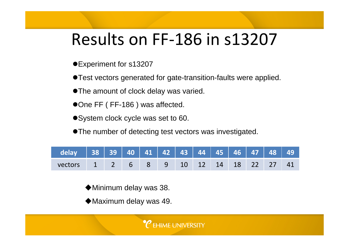# Results on FF‐186 in s13207

- Experiment for s13207
- **Test vectors generated for gate-transition-faults were applied.**
- The amount of clock delay was varied.
- ●One FF ( FF-186 ) was affected.
- System clock cycle was set to 60.
- The number of detecting test vectors was investigated.

| delay   38   39   40   41   42   43   44   45   46   47   48   49 |  |  |  |  |  |  |
|-------------------------------------------------------------------|--|--|--|--|--|--|
| vectors 1 2 6 8 9 10 12 14 18 22 27 41                            |  |  |  |  |  |  |

◆ Minimum delay was 38.

Maximum delay was 49.

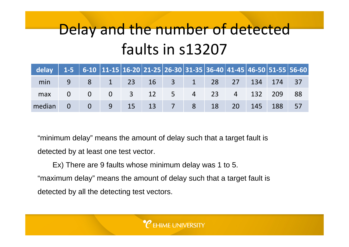# Delay and the number of detected faults in s13207

| delay   1-5   6-10  11-15  16-20  21-25  26-30  31-35  36-40  41-45  46-50  51-55  56-60 |  |  |  |  |  |  |
|------------------------------------------------------------------------------------------|--|--|--|--|--|--|
| min 9 8 1 23 16 3 1 28 27 134 174 37                                                     |  |  |  |  |  |  |
| max 0 0 0 3 12 5 4 23 4 132 209 88                                                       |  |  |  |  |  |  |
| median 0 0 9 15 13 7 8 18 20 145 188 57                                                  |  |  |  |  |  |  |

"minimum delay" means the amount of delay such that a target fault is detected by at least one test vector.

Ex) There are 9 faults whose minimum delay was 1 to 5. "maximum delay" means the amount of delay such that a target fault is detected by all the detecting test vectors.

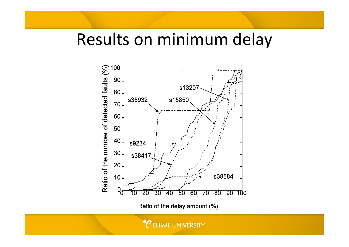### Results on minimum delay



Ratio of the delay amount (%)

**EHIME UNIVERSITY**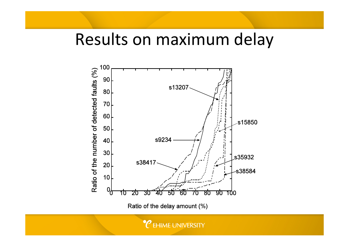#### Results on maximum delay



Ratio of the delay amount (%)

**EHIME UNIVERSITY**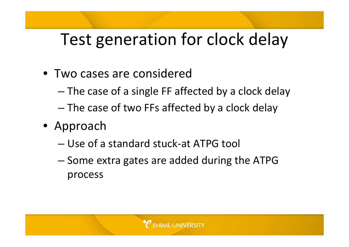# Test generation for clock delay

- Two cases are considered
	- and the state of the state The case of <sup>a</sup> single FF affected by <sup>a</sup> clock delay
	- and the state of the state The case of two FFs affected by <sup>a</sup> clock delay
- Approach
	- Use of <sup>a</sup> standard stuck‐at ATPG tool
	- and the state of the state  $-$  Some extra gates are added during the ATPG process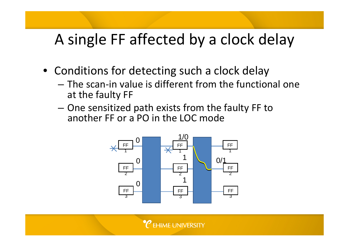### A single FF affected by <sup>a</sup> clock delay

- Conditions for detecting such <sup>a</sup> clock delay
	- The scan‐in value is different from the functional one at the faulty FF
	- – One sensitized path exists from the faulty FF to another FF or a PO in the LOC mode



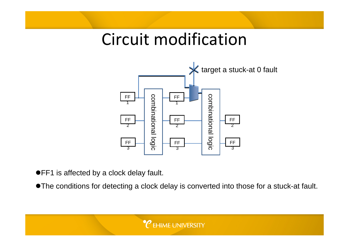# Circuit modification



●FF1 is affected by a clock delay fault.

• The conditions for detecting a clock delay is converted into those for a stuck-at fault.

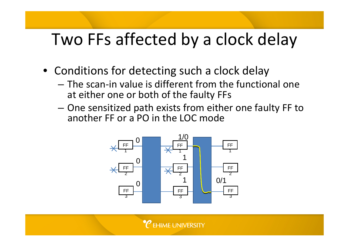# Two FFs affected by <sup>a</sup> clock delay

- Conditions for detecting such <sup>a</sup> clock delay
	- The scan‐in value is different from the functional one at either one or both of the faulty FFs
	- – One sensitized path exists from either one faulty FF to another FF or a PO in the LOC mode



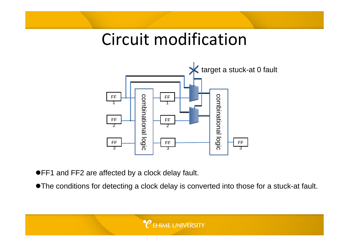# Circuit modification



●FF1 and FF2 are affected by a clock delay fault.

• The conditions for detecting a clock delay is converted into those for a stuck-at fault.

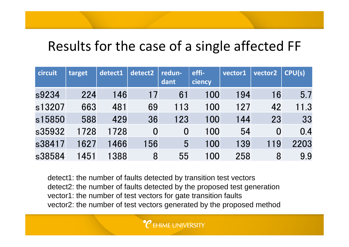#### Results for the case of <sup>a</sup> single affected FF

| <b>circuit</b> | target | detect1 | detect2        | redun-<br>dant  | effi-<br>ciency | vector1 | vector2        | CPU(s) |
|----------------|--------|---------|----------------|-----------------|-----------------|---------|----------------|--------|
| s9234          | 224    | 146     | 17             | 61              | 100             | 194     | 16             | 5.7    |
| s13207         | 663    | 481     | 69             | 113             | 100             | 127     | 42             | 11.3   |
| s15850         | 588    | 429     | 36             | 123             | 100             | 144     | 23             | 33     |
| s35932         | 1728   | 1728    | $\overline{0}$ | $\overline{0}$  | 100             | 54      | $\overline{0}$ | 0.4    |
| s38417         | 1627   | 1466    | 156            | $5\overline{)}$ | 100             | 139     | 119            | 2203   |
| s38584         | 1451   | 1388    | 8              | 55              | 100             | 258     | 8              | 9.9    |

detect1: the number of faults detected by transition test vectors detect2: the number of faults detected by the proposed test generation vector1: the number of test vectors for gate transition faults vector2: the number of test vectors generated by the proposed method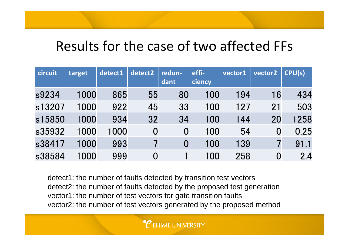#### Results for the case of two affected FFs

| circuit | target | detect1 | detect2        | redun-<br>dant | effi-<br>ciency | vector1 | vector2        | CPU(s) |
|---------|--------|---------|----------------|----------------|-----------------|---------|----------------|--------|
| s9234   | 1000   | 865     | 55             | 80             | 100             | 194     | 16             | 434    |
| s13207  | 1000   | 922     | 45             | 33             | 100             | 127     | 21             | 503    |
| s15850  | 1000   | 934     | 32             | 34             | 100             | 144     | 20             | 1258   |
| s35932  | 1000   | 1000    | $\bf{0}$       | $\bf{0}$       | 100             | 54      | $\overline{0}$ | 0.25   |
| s38417  | 1000   | 993     | 7              | $\bf 0$        | 100             | 139     |                | 91.1   |
| s38584  | 1000   | 999     | $\overline{0}$ |                | 100             | 258     | $\bf{O}$       | 2.4    |

detect1: the number of faults detected by transition test vectors detect2: the number of faults detected by the proposed test generation vector1: the number of test vectors for gate transition faults vector2: the number of test vectors generated by the proposed method